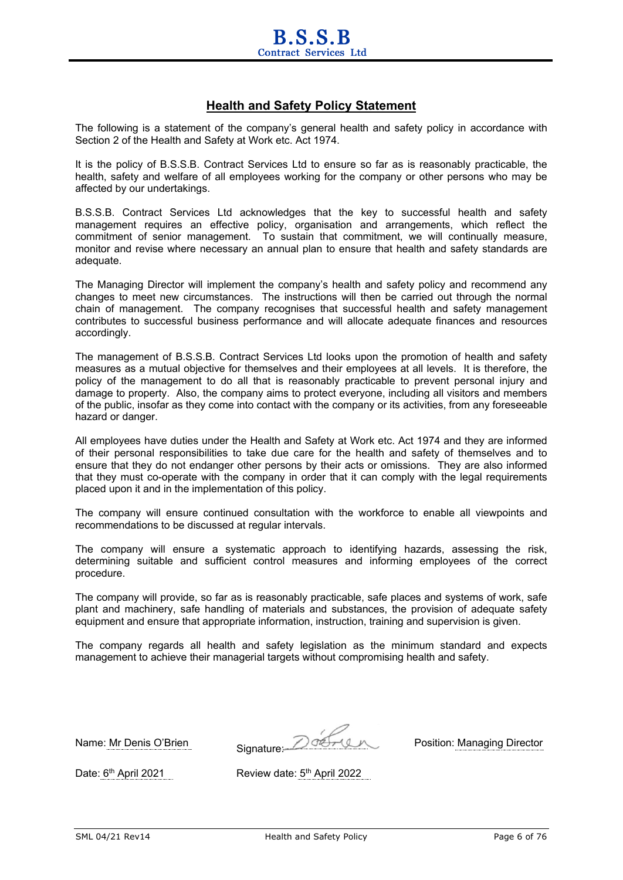## **Health and Safety Policy Statement**

The following is a statement of the company's general health and safety policy in accordance with Section 2 of the Health and Safety at Work etc. Act 1974.

It is the policy of B.S.S.B. Contract Services Ltd to ensure so far as is reasonably practicable, the health, safety and welfare of all employees working for the company or other persons who may be affected by our undertakings.

B.S.S.B. Contract Services Ltd acknowledges that the key to successful health and safety management requires an effective policy, organisation and arrangements, which reflect the commitment of senior management. To sustain that commitment, we will continually measure, monitor and revise where necessary an annual plan to ensure that health and safety standards are adequate.

The Managing Director will implement the company's health and safety policy and recommend any changes to meet new circumstances. The instructions will then be carried out through the normal chain of management. The company recognises that successful health and safety management contributes to successful business performance and will allocate adequate finances and resources accordingly.

The management of B.S.S.B. Contract Services Ltd looks upon the promotion of health and safety measures as a mutual objective for themselves and their employees at all levels. It is therefore, the policy of the management to do all that is reasonably practicable to prevent personal injury and damage to property. Also, the company aims to protect everyone, including all visitors and members of the public, insofar as they come into contact with the company or its activities, from any foreseeable hazard or danger.

All employees have duties under the Health and Safety at Work etc. Act 1974 and they are informed of their personal responsibilities to take due care for the health and safety of themselves and to ensure that they do not endanger other persons by their acts or omissions. They are also informed that they must co-operate with the company in order that it can comply with the legal requirements placed upon it and in the implementation of this policy.

The company will ensure continued consultation with the workforce to enable all viewpoints and recommendations to be discussed at regular intervals.

The company will ensure a systematic approach to identifying hazards, assessing the risk, determining suitable and sufficient control measures and informing employees of the correct procedure.

The company will provide, so far as is reasonably practicable, safe places and systems of work, safe plant and machinery, safe handling of materials and substances, the provision of adequate safety equipment and ensure that appropriate information, instruction, training and supervision is given.

The company regards all health and safety legislation as the minimum standard and expects management to achieve their managerial targets without compromising health and safety.

Name: Mr Denis O'Brien Signature: 2002 - Position: Managing Director

Date: 6<sup>th</sup> April 2021 Review date: 5<sup>th</sup> April 2022